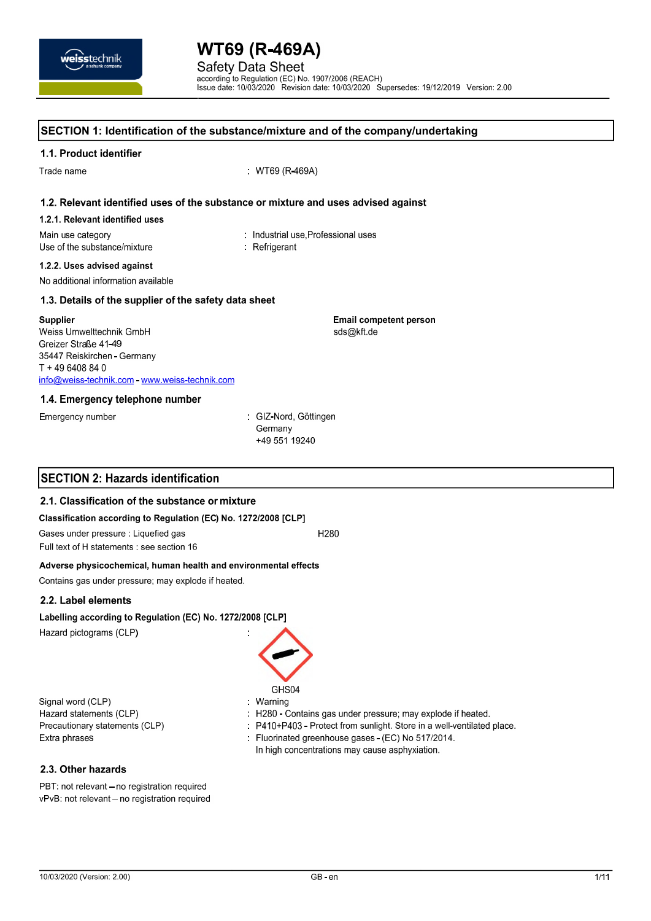**Safety Data Sheet** according to Regulation (EC) No. 1907/2006 (REACH)<br>Issue date: 10/03/2020 Revision date: 10/03/2020 Supersedes: 19/12/2019 Version: 2.00

**Email competent person** 

sds@kft.de

#### SECTION 1: Identification of the substance/mixture and of the company/undertaking

#### 1.1. Product identifier

Trade name

: WT69 (R-469A)

#### 1.2. Relevant identified uses of the substance or mixture and uses advised against

#### 1.2.1. Relevant identified uses

Main use category Use of the substance/mixture : Industrial use Professional uses Refrigerant

#### 1.2.2. Uses advised against

No additional information available

#### 1.3. Details of the supplier of the safety data sheet

#### **Supplier**

Weiss Umwelttechnik GmbH Greizer Straße 41-49 35447 Reiskirchen - Germany  $T + 496408840$ info@weiss-technik.com - www.weiss-technik.com

#### 1.4. Emergency telephone number

Emergency number

: GIZ-Nord, Göttingen Germany +49 551 19240

#### **SECTION 2: Hazards identification**

#### 2.1. Classification of the substance or mixture

#### Classification according to Regulation (EC) No. 1272/2008 [CLP]

Gases under pressure : Liquefied gas H280

Full text of H statements : see section 16

#### Adverse physicochemical, human health and environmental effects

Contains gas under pressure; may explode if heated.

#### 2.2. Label elements

#### Labelling according to Regulation (EC) No. 1272/2008 [CLP]

Hazard pictograms (CLP)

Signal word (CLP) Hazard statements (CLP) Precautionary statements (CLP) Extra phrases

GHS04

#### . Warning

: H280 - Contains gas under pressure; may explode if heated.

P410+P403 - Protect from sunlight. Store in a well-ventilated place.

: Fluorinated greenhouse gases (EC) No 517/2014. In high concentrations may cause asphyxiation.

#### 2.3. Other hazards

PBT: not relevant - no registration required vPvB: not relevant - no registration required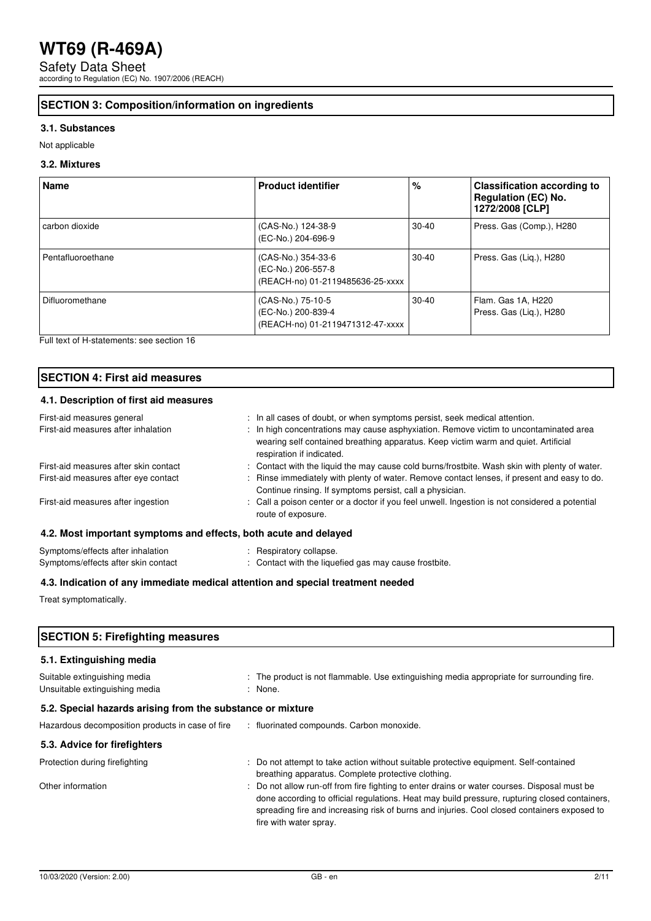Safety Data Sheet according to Regulation (EC) No. 1907/2006 (REACH)

#### **SECTION 3: Composition/information on ingredients**

#### **3.1. Substances**

Not applicable

#### **3.2. Mixtures**

| <b>Name</b>       | <b>Product identifier</b>                                                    | %         | <b>Classification according to</b><br><b>Regulation (EC) No.</b><br>1272/2008 [CLP] |
|-------------------|------------------------------------------------------------------------------|-----------|-------------------------------------------------------------------------------------|
| carbon dioxide    | (CAS-No.) 124-38-9<br>(EC-No.) 204-696-9                                     | $30 - 40$ | Press. Gas (Comp.), H280                                                            |
| Pentafluoroethane | (CAS-No.) 354-33-6<br>(EC-No.) 206-557-8<br>(REACH-no) 01-2119485636-25-xxxx | $30-40$   | Press. Gas (Liq.), H280                                                             |
| Difluoromethane   | (CAS-No.) 75-10-5<br>(EC-No.) 200-839-4<br>(REACH-no) 01-2119471312-47-xxxx  | $30-40$   | Flam. Gas 1A, H220<br>Press. Gas (Lig.), H280                                       |

Full text of H-statements: see section 16

#### **SECTION 4: First aid measures**

#### **4.1. Description of first aid measures**

| First-aid measures general                                       | : In all cases of doubt, or when symptoms persist, seek medical attention.                                                                                                                               |
|------------------------------------------------------------------|----------------------------------------------------------------------------------------------------------------------------------------------------------------------------------------------------------|
| First-aid measures after inhalation                              | : In high concentrations may cause asphyxiation. Remove victim to uncontaminated area<br>wearing self contained breathing apparatus. Keep victim warm and quiet. Artificial<br>respiration if indicated. |
| First-aid measures after skin contact                            | : Contact with the liquid the may cause cold burns/frostbite. Wash skin with plenty of water.                                                                                                            |
| First-aid measures after eye contact                             | : Rinse immediately with plenty of water. Remove contact lenses, if present and easy to do.<br>Continue rinsing. If symptoms persist, call a physician.                                                  |
| First-aid measures after ingestion                               | : Call a poison center or a doctor if you feel unwell. Ingestion is not considered a potential<br>route of exposure.                                                                                     |
| 4.2. Most important symptoms and effects, both acute and delayed |                                                                                                                                                                                                          |
| Symptoms/effects after inhalation                                | : Respiratory collapse.                                                                                                                                                                                  |

## Symptoms/effects after skin contact : Contact with the liquefied gas may cause frostbite.

#### **4.3. Indication of any immediate medical attention and special treatment needed**

Treat symptomatically.

| <b>SECTION 5: Firefighting measures</b>                        |                                                                                                                                                                                                                                                                                                                      |  |
|----------------------------------------------------------------|----------------------------------------------------------------------------------------------------------------------------------------------------------------------------------------------------------------------------------------------------------------------------------------------------------------------|--|
| 5.1. Extinguishing media                                       |                                                                                                                                                                                                                                                                                                                      |  |
| Suitable extinguishing media<br>Unsuitable extinguishing media | : The product is not flammable. Use extinguishing media appropriate for surrounding fire.<br>: None.                                                                                                                                                                                                                 |  |
| 5.2. Special hazards arising from the substance or mixture     |                                                                                                                                                                                                                                                                                                                      |  |
| Hazardous decomposition products in case of fire               | : fluorinated compounds. Carbon monoxide.                                                                                                                                                                                                                                                                            |  |
| 5.3. Advice for firefighters                                   |                                                                                                                                                                                                                                                                                                                      |  |
| Protection during firefighting                                 | : Do not attempt to take action without suitable protective equipment. Self-contained<br>breathing apparatus. Complete protective clothing.                                                                                                                                                                          |  |
| Other information                                              | Do not allow run-off from fire fighting to enter drains or water courses. Disposal must be<br>done according to official regulations. Heat may build pressure, rupturing closed containers,<br>spreading fire and increasing risk of burns and injuries. Cool closed containers exposed to<br>fire with water spray. |  |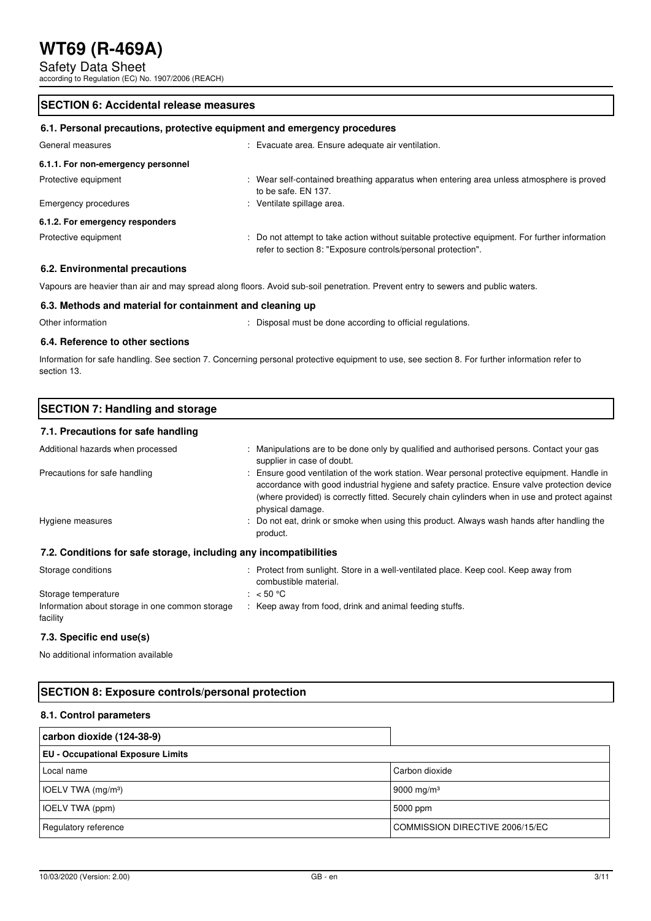Safety Data Sheet

according to Regulation (EC) No. 1907/2006 (REACH)

#### **SECTION 6: Accidental release measures**

#### **6.1. Personal precautions, protective equipment and emergency procedures**

| General measures                   | Evacuate area. Ensure adequate air ventilation.                                                                                                                |
|------------------------------------|----------------------------------------------------------------------------------------------------------------------------------------------------------------|
| 6.1.1. For non-emergency personnel |                                                                                                                                                                |
| Protective equipment               | : Wear self-contained breathing apparatus when entering area unless atmosphere is proved<br>to be safe. EN 137.                                                |
| Emergency procedures               | : Ventilate spillage area.                                                                                                                                     |
| 6.1.2. For emergency responders    |                                                                                                                                                                |
| Protective equipment               | : Do not attempt to take action without suitable protective equipment. For further information<br>refer to section 8: "Exposure controls/personal protection". |
|                                    |                                                                                                                                                                |

#### **6.2. Environmental precautions**

Vapours are heavier than air and may spread along floors. Avoid sub-soil penetration. Prevent entry to sewers and public waters.

#### **6.3. Methods and material for containment and cleaning up**

Other information **interval according to official regulations** : Disposal must be done according to official regulations.

#### **6.4. Reference to other sections**

Information for safe handling. See section 7. Concerning personal protective equipment to use, see section 8. For further information refer to section 13.

### **SECTION 7: Handling and storage**

#### **7.1. Precautions for safe handling**

| Additional hazards when processed                                 | : Manipulations are to be done only by qualified and authorised persons. Contact your gas<br>supplier in case of doubt.                                                                                                                                                                                           |
|-------------------------------------------------------------------|-------------------------------------------------------------------------------------------------------------------------------------------------------------------------------------------------------------------------------------------------------------------------------------------------------------------|
| Precautions for safe handling                                     | : Ensure good ventilation of the work station. Wear personal protective equipment. Handle in<br>accordance with good industrial hygiene and safety practice. Ensure valve protection device<br>(where provided) is correctly fitted. Securely chain cylinders when in use and protect against<br>physical damage. |
| Hygiene measures                                                  | : Do not eat, drink or smoke when using this product. Always wash hands after handling the<br>product.                                                                                                                                                                                                            |
| 7.2. Conditions for safe storage, including any incompatibilities |                                                                                                                                                                                                                                                                                                                   |
| Storage conditions                                                | : Protect from sunlight. Store in a well-ventilated place. Keep cool. Keep away from                                                                                                                                                                                                                              |
|                                                                   |                                                                                                                                                                                                                                                                                                                   |

combustible material. Storage temperature  $: < 50 °C$ Information about storage in one common storage facility : Keep away from food, drink and animal feeding stuffs.

#### **7.3. Specific end use(s)**

No additional information available

#### **SECTION 8: Exposure controls/personal protection**

#### **8.1. Control parameters**

| carbon dioxide (124-38-9)                |                                 |
|------------------------------------------|---------------------------------|
| <b>EU - Occupational Exposure Limits</b> |                                 |
| Local name                               | Carbon dioxide                  |
| IOELV TWA (mg/m <sup>3</sup> )           | 9000 mg/m <sup>3</sup>          |
| <b>IOELV TWA (ppm)</b>                   | 5000 ppm                        |
| Regulatory reference                     | COMMISSION DIRECTIVE 2006/15/EC |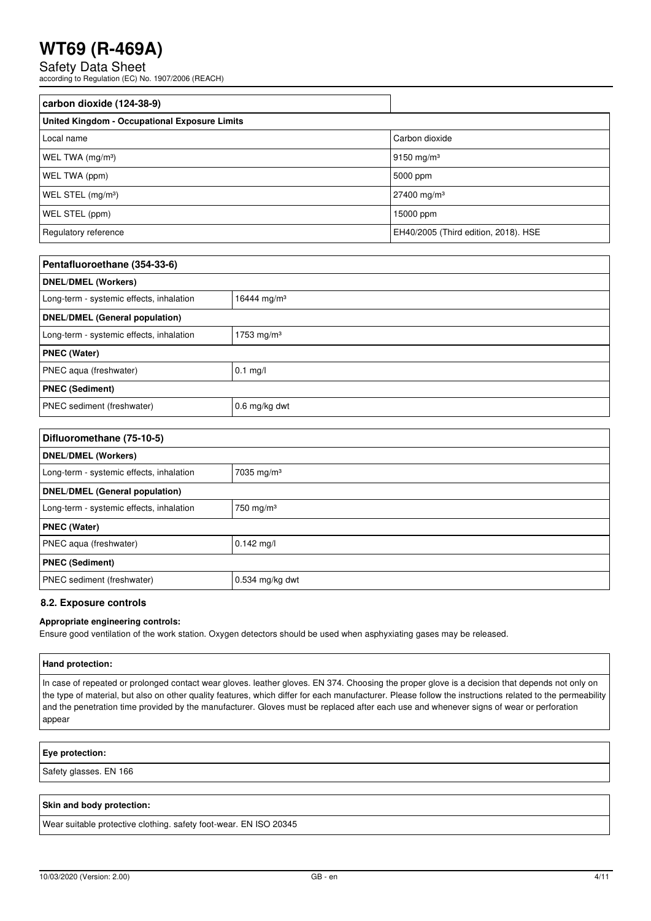Safety Data Sheet

according to Regulation (EC) No. 1907/2006 (REACH)

| carbon dioxide (124-38-9)                            |                                      |
|------------------------------------------------------|--------------------------------------|
| <b>United Kingdom - Occupational Exposure Limits</b> |                                      |
| Local name                                           | Carbon dioxide                       |
| WEL TWA $(mg/m3)$                                    | 9150 mg/m <sup>3</sup>               |
| WEL TWA (ppm)                                        | 5000 ppm                             |
| WEL STEL $(mg/m3)$                                   | $27400$ mg/m <sup>3</sup>            |
| WEL STEL (ppm)                                       | 15000 ppm                            |
| Regulatory reference                                 | EH40/2005 (Third edition, 2018). HSE |

| Pentafluoroethane (354-33-6)             |                         |  |
|------------------------------------------|-------------------------|--|
| <b>DNEL/DMEL (Workers)</b>               |                         |  |
| Long-term - systemic effects, inhalation | 16444 mg/m <sup>3</sup> |  |
| <b>DNEL/DMEL (General population)</b>    |                         |  |
| Long-term - systemic effects, inhalation | 1753 mg/m <sup>3</sup>  |  |
| <b>PNEC (Water)</b>                      |                         |  |
| PNEC aqua (freshwater)                   | $0.1$ mg/l              |  |
| <b>PNEC (Sediment)</b>                   |                         |  |
| PNEC sediment (freshwater)               | $0.6$ mg/kg dwt         |  |

| Difluoromethane (75-10-5)                |                         |  |
|------------------------------------------|-------------------------|--|
| <b>DNEL/DMEL (Workers)</b>               |                         |  |
| Long-term - systemic effects, inhalation | 7035 mg/m <sup>3</sup>  |  |
| <b>DNEL/DMEL (General population)</b>    |                         |  |
| Long-term - systemic effects, inhalation | $750$ mg/m <sup>3</sup> |  |
| <b>PNEC (Water)</b>                      |                         |  |
| PNEC aqua (freshwater)                   | $0.142$ mg/l            |  |
| <b>PNEC (Sediment)</b>                   |                         |  |
| PNEC sediment (freshwater)               | $0.534$ mg/kg dwt       |  |

#### **8.2. Exposure controls**

#### **Appropriate engineering controls:**

Ensure good ventilation of the work station. Oxygen detectors should be used when asphyxiating gases may be released.

#### **Hand protection:**

In case of repeated or prolonged contact wear gloves. leather gloves. EN 374. Choosing the proper glove is a decision that depends not only on the type of material, but also on other quality features, which differ for each manufacturer. Please follow the instructions related to the permeability and the penetration time provided by the manufacturer. Gloves must be replaced after each use and whenever signs of wear or perforation appear

#### **Eye protection:**

Safety glasses. EN 166

#### **Skin and body protection:**

Wear suitable protective clothing. safety foot-wear. EN ISO 20345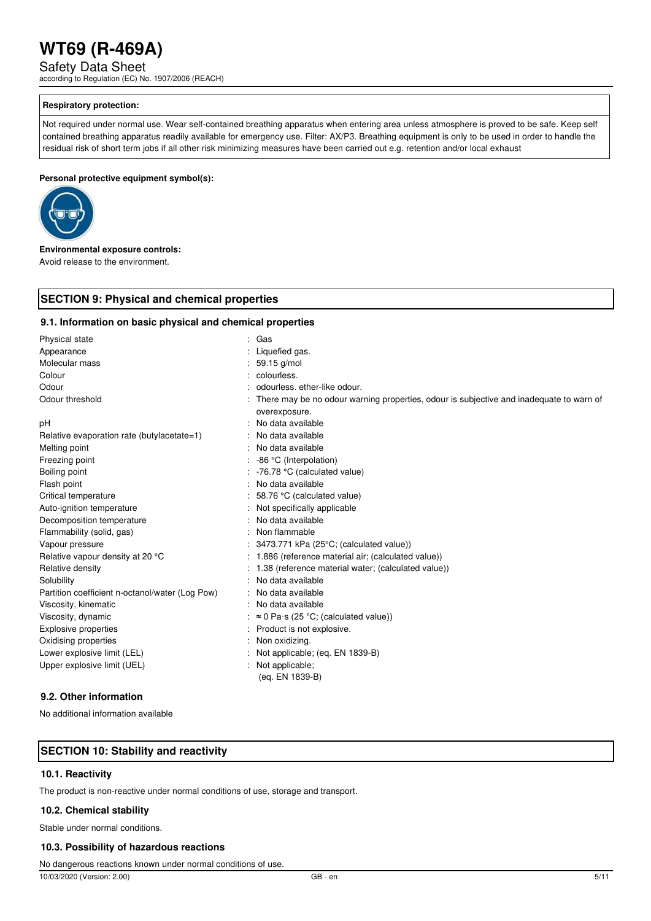Safety Data Sheet

according to Regulation (EC) No. 1907/2006 (REACH)

#### **Respiratory protection:**

Not required under normal use. Wear self-contained breathing apparatus when entering area unless atmosphere is proved to be safe. Keep self contained breathing apparatus readily available for emergency use. Filter: AX/P3. Breathing equipment is only to be used in order to handle the residual risk of short term jobs if all other risk minimizing measures have been carried out e.g. retention and/or local exhaust

#### **Personal protective equipment symbol(s):**



**Environmental exposure controls:**  Avoid release to the environment.

#### **SECTION 9: Physical and chemical properties**

#### **9.1. Information on basic physical and chemical properties**

| Physical state                                  | : Gas                                                                                                    |
|-------------------------------------------------|----------------------------------------------------------------------------------------------------------|
| Appearance                                      | Liquefied gas.                                                                                           |
| Molecular mass                                  | 59.15 g/mol                                                                                              |
| Colour                                          | : colourless.                                                                                            |
| Odour                                           | odourless, ether-like odour.                                                                             |
| Odour threshold                                 | There may be no odour warning properties, odour is subjective and inadequate to warn of<br>overexposure. |
| рH                                              | No data available                                                                                        |
| Relative evaporation rate (butylacetate=1)      | No data available                                                                                        |
| Melting point                                   | No data available                                                                                        |
| Freezing point                                  | -86 °C (Interpolation)                                                                                   |
| Boiling point                                   | -76.78 °C (calculated value)                                                                             |
| Flash point                                     | No data available                                                                                        |
| Critical temperature                            | 58.76 °C (calculated value)                                                                              |
| Auto-ignition temperature                       | Not specifically applicable                                                                              |
| Decomposition temperature                       | No data available                                                                                        |
| Flammability (solid, gas)                       | Non flammable                                                                                            |
| Vapour pressure                                 | 3473.771 kPa (25°C; (calculated value))                                                                  |
| Relative vapour density at 20 °C                | : 1.886 (reference material air; (calculated value))                                                     |
| Relative density                                | 1.38 (reference material water; (calculated value))                                                      |
| Solubility                                      | No data available                                                                                        |
| Partition coefficient n-octanol/water (Log Pow) | No data available                                                                                        |
| Viscosity, kinematic                            | No data available                                                                                        |
| Viscosity, dynamic                              | $\approx$ 0 Pa·s (25 °C; (calculated value))                                                             |
| <b>Explosive properties</b>                     | Product is not explosive.                                                                                |
| Oxidising properties                            | Non oxidizing.                                                                                           |
| Lower explosive limit (LEL)                     | Not applicable; (eq. EN 1839-B)                                                                          |
| Upper explosive limit (UEL)                     | Not applicable;<br>(eq. EN 1839-B)                                                                       |
| 9.2. Other information                          |                                                                                                          |

No additional information available

#### **SECTION 10: Stability and reactivity**

#### **10.1. Reactivity**

The product is non-reactive under normal conditions of use, storage and transport.

#### **10.2. Chemical stability**

Stable under normal conditions.

#### **10.3. Possibility of hazardous reactions**

No dangerous reactions known under normal conditions of use.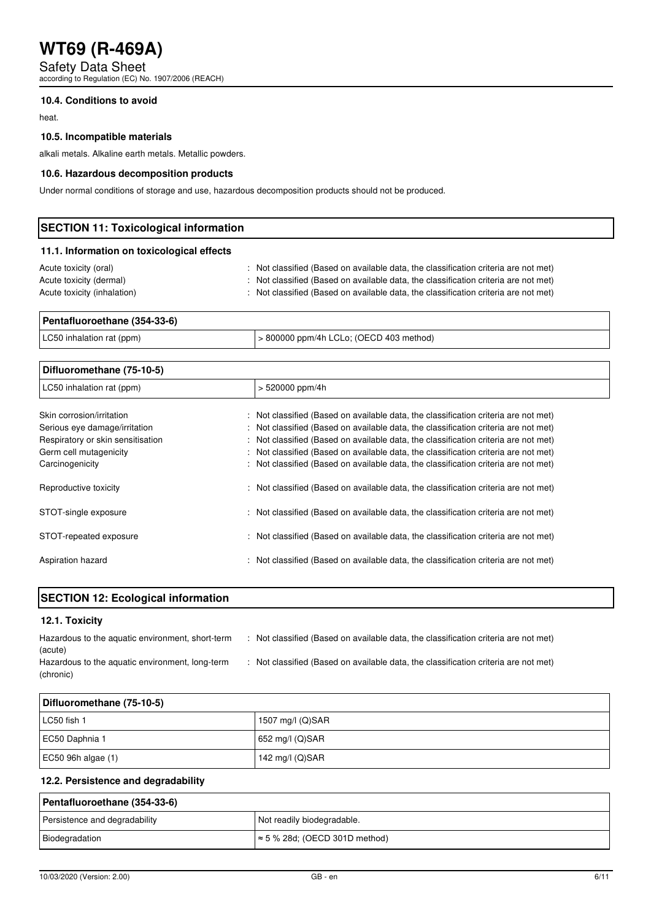Safety Data Sheet according to Regulation (EC) No. 1907/2006 (REACH)

#### **10.4. Conditions to avoid**

heat.

#### **10.5. Incompatible materials**

alkali metals. Alkaline earth metals. Metallic powders.

#### **10.6. Hazardous decomposition products**

Under normal conditions of storage and use, hazardous decomposition products should not be produced.

| <b>SECTION 11: Toxicological information</b> |                                                                                     |  |
|----------------------------------------------|-------------------------------------------------------------------------------------|--|
| 11.1. Information on toxicological effects   |                                                                                     |  |
| Acute toxicity (oral)                        | : Not classified (Based on available data, the classification criteria are not met) |  |
| Acute toxicity (dermal)                      | : Not classified (Based on available data, the classification criteria are not met) |  |
| Acute toxicity (inhalation)                  | : Not classified (Based on available data, the classification criteria are not met) |  |

| Pentafluoroethane (354-33-6) |                                         |  |
|------------------------------|-----------------------------------------|--|
| LC50 inhalation rat (ppm)    | > 800000 ppm/4h LCLo; (OECD 403 method) |  |

| Difluoromethane (75-10-5)         |                                                                                     |
|-----------------------------------|-------------------------------------------------------------------------------------|
| LC50 inhalation rat (ppm)         | $> 520000$ ppm/4h                                                                   |
| Skin corrosion/irritation         | : Not classified (Based on available data, the classification criteria are not met) |
| Serious eye damage/irritation     | : Not classified (Based on available data, the classification criteria are not met) |
| Respiratory or skin sensitisation | : Not classified (Based on available data, the classification criteria are not met) |
| Germ cell mutagenicity            | : Not classified (Based on available data, the classification criteria are not met) |
| Carcinogenicity                   | : Not classified (Based on available data, the classification criteria are not met) |
| Reproductive toxicity             | : Not classified (Based on available data, the classification criteria are not met) |
| STOT-single exposure              | : Not classified (Based on available data, the classification criteria are not met) |
| STOT-repeated exposure            | : Not classified (Based on available data, the classification criteria are not met) |
| Aspiration hazard                 | : Not classified (Based on available data, the classification criteria are not met) |

|  | <b>SECTION 12: Ecological information</b> |
|--|-------------------------------------------|
|  |                                           |

#### **12.1. Toxicity**

| Hazardous to the aquatic environment, short-term | : Not classified (Based on available data, the classification criteria are not met) |
|--------------------------------------------------|-------------------------------------------------------------------------------------|
| (acute)                                          |                                                                                     |
| Hazardous to the aquatic environment, long-term  | : Not classified (Based on available data, the classification criteria are not met) |
| (chronic)                                        |                                                                                     |

| Difluoromethane (75-10-5) |                     |
|---------------------------|---------------------|
| LC50 fish 1               | 1507 mg/l $(Q)$ SAR |
| EC50 Daphnia 1            | $652$ mg/l (Q)SAR   |
| EC50 96h algae $(1)$      | 142 mg/l (Q)SAR     |

#### **12.2. Persistence and degradability**

| Pentafluoroethane (354-33-6)  |                                       |  |
|-------------------------------|---------------------------------------|--|
| Persistence and degradability | Not readily biodegradable.            |  |
| Biodegradation                | $\approx$ 5 % 28d; (OECD 301D method) |  |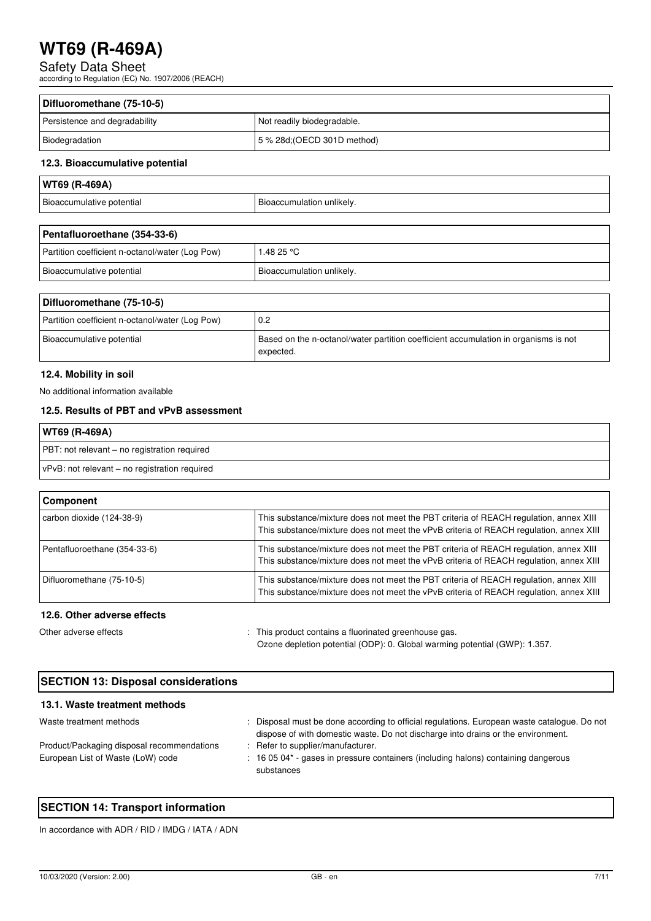Safety Data Sheet according to Regulation (EC) No. 1907/2006 (REACH)

| Difluoromethane (75-10-5)     |                             |  |
|-------------------------------|-----------------------------|--|
| Persistence and degradability | Not readily biodegradable.  |  |
| Biodegradation                | 5 % 28d; (OECD 301D method) |  |

#### **12.3. Bioaccumulative potential**

| WT69 (R-469A)             |                           |
|---------------------------|---------------------------|
| Bioaccumulative potential | Bioaccumulation unlikely. |

| Pentafluoroethane (354-33-6)                    |                           |  |
|-------------------------------------------------|---------------------------|--|
| Partition coefficient n-octanol/water (Log Pow) | 1.48 25 °C                |  |
| Bioaccumulative potential                       | Bioaccumulation unlikely. |  |

| Difluoromethane (75-10-5)                       |                                                                                                  |
|-------------------------------------------------|--------------------------------------------------------------------------------------------------|
| Partition coefficient n-octanol/water (Log Pow) | l 0.2                                                                                            |
| Bioaccumulative potential                       | Based on the n-octanol/water partition coefficient accumulation in organisms is not<br>expected. |

#### **12.4. Mobility in soil**

No additional information available

#### **12.5. Results of PBT and vPvB assessment**

| WT69 (R-469A)                                 |
|-----------------------------------------------|
| PBT: not relevant – no registration required  |
| vPvB: not relevant – no registration required |

| <b>Component</b>             |                                                                                                                                                                                 |
|------------------------------|---------------------------------------------------------------------------------------------------------------------------------------------------------------------------------|
| carbon dioxide (124-38-9)    | This substance/mixture does not meet the PBT criteria of REACH regulation, annex XIII<br>This substance/mixture does not meet the vPvB criteria of REACH requiation, annex XIII |
| Pentafluoroethane (354-33-6) | This substance/mixture does not meet the PBT criteria of REACH regulation, annex XIII<br>This substance/mixture does not meet the vPvB criteria of REACH regulation, annex XIII |
| Difluoromethane (75-10-5)    | This substance/mixture does not meet the PBT criteria of REACH regulation, annex XIII<br>This substance/mixture does not meet the vPvB criteria of REACH regulation, annex XIII |
| 12.6. Other adverse effects  |                                                                                                                                                                                 |

Other adverse effects in the state of the state of the state of This product contains a fluorinated greenhouse gas. Ozone depletion potential (ODP): 0. Global warming potential (GWP): 1.357.

| <b>SECTION 13: Disposal considerations</b> |                                                                                                                                                                                 |
|--------------------------------------------|---------------------------------------------------------------------------------------------------------------------------------------------------------------------------------|
| 13.1. Waste treatment methods              |                                                                                                                                                                                 |
| Waste treatment methods                    | : Disposal must be done according to official regulations. European waste catalogue. Do not<br>dispose of with domestic waste. Do not discharge into drains or the environment. |
| Product/Packaging disposal recommendations | : Refer to supplier/manufacturer.                                                                                                                                               |
| European List of Waste (LoW) code          | : 16 05 04* - gases in pressure containers (including halons) containing dangerous<br>substances                                                                                |

#### **SECTION 14: Transport information**

In accordance with ADR / RID / IMDG / IATA / ADN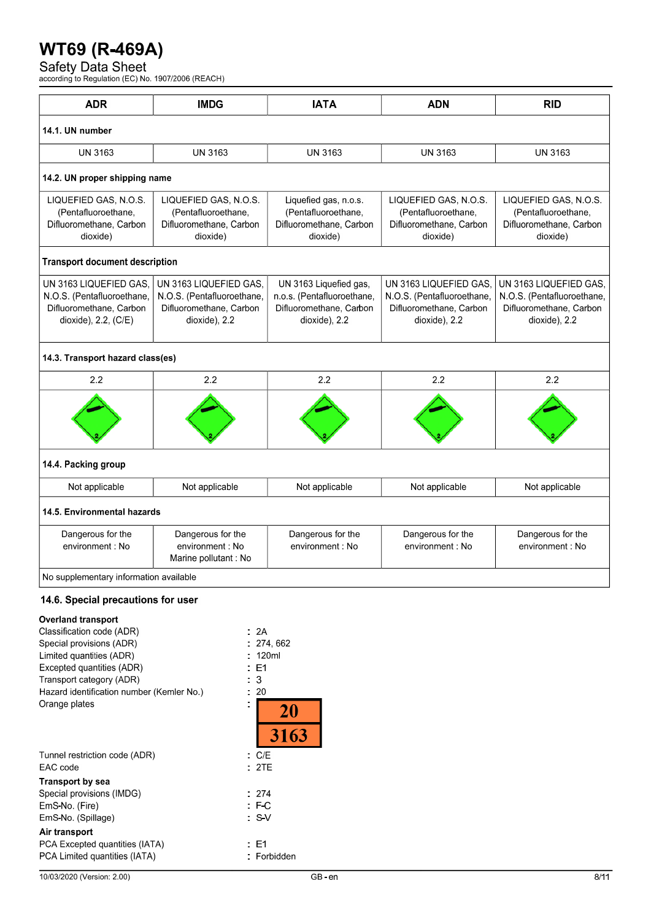Safety Data Sheet<br>according to Regulation (EC) No. 1907/2006 (REACH)

| 14.1. UN number<br><b>UN 3163</b><br>14.2. UN proper shipping name<br>LIQUEFIED GAS, N.O.S.<br>(Pentafluoroethane, | <b>UN 3163</b>                                                                                   | <b>UN 3163</b>                                                                                   | <b>UN 3163</b>                                                                                   | <b>UN 3163</b>                                                                                   |
|--------------------------------------------------------------------------------------------------------------------|--------------------------------------------------------------------------------------------------|--------------------------------------------------------------------------------------------------|--------------------------------------------------------------------------------------------------|--------------------------------------------------------------------------------------------------|
|                                                                                                                    |                                                                                                  |                                                                                                  |                                                                                                  |                                                                                                  |
|                                                                                                                    |                                                                                                  |                                                                                                  |                                                                                                  |                                                                                                  |
|                                                                                                                    |                                                                                                  |                                                                                                  |                                                                                                  |                                                                                                  |
| Difluoromethane, Carbon<br>dioxide)                                                                                | LIQUEFIED GAS, N.O.S.<br>(Pentafluoroethane,<br>Difluoromethane, Carbon<br>dioxide)              | Liquefied gas, n.o.s.<br>(Pentafluoroethane,<br>Difluoromethane, Carbon<br>dioxide)              | LIQUEFIED GAS, N.O.S.<br>(Pentafluoroethane,<br>Difluoromethane, Carbon<br>dioxide)              | LIQUEFIED GAS, N.O.S.<br>(Pentafluoroethane,<br>Difluoromethane, Carbon<br>dioxide)              |
| <b>Transport document description</b>                                                                              |                                                                                                  |                                                                                                  |                                                                                                  |                                                                                                  |
| UN 3163 LIQUEFIED GAS.<br>N.O.S. (Pentafluoroethane,<br>Difluoromethane, Carbon<br>dioxide), 2.2, (C/E)            | UN 3163 LIQUEFIED GAS.<br>N.O.S. (Pentafluoroethane,<br>Difluoromethane, Carbon<br>dioxide), 2.2 | UN 3163 Liquefied gas,<br>n.o.s. (Pentafluoroethane,<br>Difluoromethane, Carbon<br>dioxide), 2.2 | UN 3163 LIQUEFIED GAS.<br>N.O.S. (Pentafluoroethane,<br>Difluoromethane, Carbon<br>dioxide), 2.2 | UN 3163 LIQUEFIED GAS,<br>N.O.S. (Pentafluoroethane,<br>Difluoromethane, Carbon<br>dioxide), 2.2 |
| 14.3. Transport hazard class(es)                                                                                   |                                                                                                  |                                                                                                  |                                                                                                  |                                                                                                  |
| 2.2                                                                                                                | 2.2                                                                                              | 2.2                                                                                              | 2.2                                                                                              | 2.2                                                                                              |
|                                                                                                                    |                                                                                                  |                                                                                                  |                                                                                                  |                                                                                                  |
| 14.4. Packing group                                                                                                |                                                                                                  |                                                                                                  |                                                                                                  |                                                                                                  |
| Not applicable                                                                                                     | Not applicable                                                                                   | Not applicable                                                                                   | Not applicable                                                                                   | Not applicable                                                                                   |
| 14.5. Environmental hazards                                                                                        |                                                                                                  |                                                                                                  |                                                                                                  |                                                                                                  |
| Dangerous for the<br>environment : No                                                                              | Dangerous for the<br>environment: No<br>Marine pollutant: No                                     | Dangerous for the<br>environment: No                                                             | Dangerous for the<br>environment : No                                                            | Dangerous for the<br>environment: No                                                             |
|                                                                                                                    |                                                                                                  |                                                                                                  |                                                                                                  |                                                                                                  |

### **Overland transport**

| Classification code (ADR)                 | .2A         |
|-------------------------------------------|-------------|
| Special provisions (ADR)                  | . 274,662   |
| Limited quantities (ADR)                  | 120ml       |
| Excepted quantities (ADR)                 | : E1        |
| Transport category (ADR)                  | 3           |
| Hazard identification number (Kemler No.) | -20         |
| Orange plates                             | 20          |
|                                           | 3163        |
|                                           |             |
| Tunnel restriction code (ADR)             | C/E         |
| EAC code                                  | 2TE         |
| Transport by sea                          |             |
| Special provisions (IMDG)                 | . 274       |
| EmS-No. (Fire)                            | $E_{\rm C}$ |
| EmS-No. (Spillage)                        | . SV        |
| Air transport                             |             |
| PCA Excepted quantities (IATA)            | E1          |
| PCA Limited quantities (IATA)             | Forbidden   |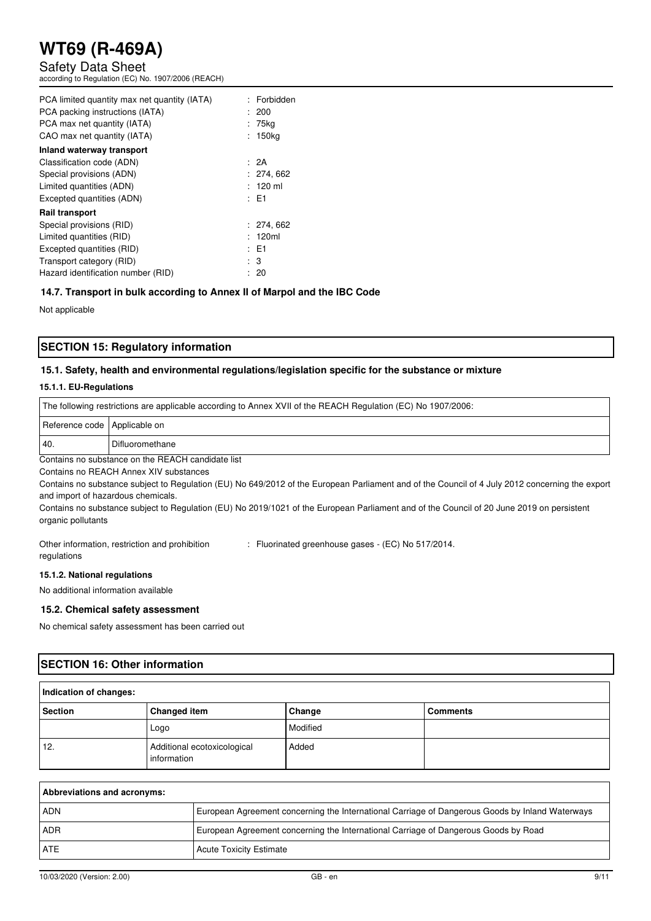Safety Data Sheet

according to Regulation (EC) No. 1907/2006 (REACH)

| PCA limited quantity max net quantity (IATA) | : Forbidden        |
|----------------------------------------------|--------------------|
| PCA packing instructions (IATA)              | : 200              |
| PCA max net quantity (IATA)                  | : 75kg             |
| CAO max net quantity (IATA)                  | : 150kg            |
| Inland waterway transport                    |                    |
| Classification code (ADN)                    | : 2A               |
| Special provisions (ADN)                     | : 274,662          |
| Limited quantities (ADN)                     | $: 120 \text{ ml}$ |
| Excepted quantities (ADN)                    | : E1               |
| <b>Rail transport</b>                        |                    |
| Special provisions (RID)                     | : 274,662          |
| Limited quantities (RID)                     | : 120ml            |
| Excepted quantities (RID)                    | : E1               |
| Transport category (RID)                     | : 3                |
| Hazard identification number (RID)           | : 20               |

#### **14.7. Transport in bulk according to Annex II of Marpol and the IBC Code**

Not applicable

#### **SECTION 15: Regulatory information**

#### **15.1. Safety, health and environmental regulations/legislation specific for the substance or mixture**

#### **15.1.1. EU-Regulations**

| The following restrictions are applicable according to Annex XVII of the REACH Regulation (EC) No 1907/2006: |  |  |
|--------------------------------------------------------------------------------------------------------------|--|--|
| Reference code   Applicable on                                                                               |  |  |
| 40<br>Difluoromethane                                                                                        |  |  |
| Contains no substance on the REACH candidate list                                                            |  |  |

Contains no REACH Annex XIV substances

Contains no substance subject to Regulation (EU) No 649/2012 of the European Parliament and of the Council of 4 July 2012 concerning the export and import of hazardous chemicals.

Contains no substance subject to Regulation (EU) No 2019/1021 of the European Parliament and of the Council of 20 June 2019 on persistent organic pollutants

Other information, restriction and prohibition regulations : Fluorinated greenhouse gases - (EC) No 517/2014.

#### **15.1.2. National regulations**

No additional information available

#### **15.2. Chemical safety assessment**

No chemical safety assessment has been carried out

#### **SECTION 16: Other information**

| Indication of changes: |                                            |          |                 |
|------------------------|--------------------------------------------|----------|-----------------|
| <b>Section</b>         | <b>Changed item</b>                        | Change   | <b>Comments</b> |
|                        | Logo                                       | Modified |                 |
| 12.                    | Additional ecotoxicological<br>information | Added    |                 |

| Abbreviations and acronyms: |                                                                                                 |
|-----------------------------|-------------------------------------------------------------------------------------------------|
| ADN                         | European Agreement concerning the International Carriage of Dangerous Goods by Inland Waterways |
| <b>ADR</b>                  | European Agreement concerning the International Carriage of Dangerous Goods by Road             |
| <b>ATE</b>                  | <b>Acute Toxicity Estimate</b>                                                                  |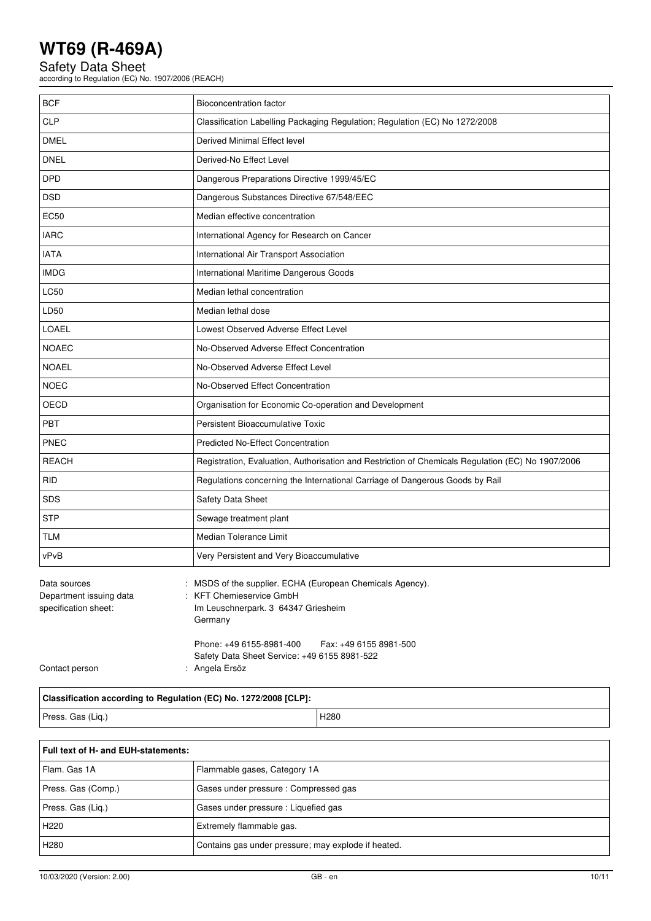Safety Data Sheet according to Regulation (EC) No. 1907/2006 (REACH)

| <b>BCF</b>                                                      | <b>Bioconcentration factor</b>                                                                                                             |  |
|-----------------------------------------------------------------|--------------------------------------------------------------------------------------------------------------------------------------------|--|
| <b>CLP</b>                                                      | Classification Labelling Packaging Regulation; Regulation (EC) No 1272/2008                                                                |  |
| <b>DMEL</b>                                                     | Derived Minimal Effect level                                                                                                               |  |
| <b>DNEL</b>                                                     | Derived-No Effect Level                                                                                                                    |  |
| <b>DPD</b>                                                      | Dangerous Preparations Directive 1999/45/EC                                                                                                |  |
| <b>DSD</b>                                                      | Dangerous Substances Directive 67/548/EEC                                                                                                  |  |
| <b>EC50</b>                                                     | Median effective concentration                                                                                                             |  |
| <b>IARC</b>                                                     | International Agency for Research on Cancer                                                                                                |  |
| <b>IATA</b>                                                     | International Air Transport Association                                                                                                    |  |
| <b>IMDG</b>                                                     | International Maritime Dangerous Goods                                                                                                     |  |
| <b>LC50</b>                                                     | Median lethal concentration                                                                                                                |  |
| LD50                                                            | Median lethal dose                                                                                                                         |  |
| LOAEL                                                           | Lowest Observed Adverse Effect Level                                                                                                       |  |
| <b>NOAEC</b>                                                    | No-Observed Adverse Effect Concentration                                                                                                   |  |
| <b>NOAEL</b>                                                    | No-Observed Adverse Effect Level                                                                                                           |  |
| <b>NOEC</b>                                                     | No-Observed Effect Concentration                                                                                                           |  |
| OECD                                                            | Organisation for Economic Co-operation and Development                                                                                     |  |
| <b>PBT</b>                                                      | Persistent Bioaccumulative Toxic                                                                                                           |  |
| PNEC                                                            | <b>Predicted No-Effect Concentration</b>                                                                                                   |  |
| <b>REACH</b>                                                    | Registration, Evaluation, Authorisation and Restriction of Chemicals Regulation (EC) No 1907/2006                                          |  |
| <b>RID</b>                                                      | Regulations concerning the International Carriage of Dangerous Goods by Rail                                                               |  |
| SDS                                                             | <b>Safety Data Sheet</b>                                                                                                                   |  |
| <b>STP</b>                                                      | Sewage treatment plant                                                                                                                     |  |
| <b>TLM</b>                                                      | Median Tolerance Limit                                                                                                                     |  |
| vPvB                                                            | Very Persistent and Very Bioaccumulative                                                                                                   |  |
| Data sources<br>Department issuing data<br>specification sheet: | MSDS of the supplier. ECHA (European Chemicals Agency).<br><b>KFT Chemieservice GmbH</b><br>Im Leuschnerpark. 3 64347 Griesheim<br>Germany |  |

Contact person : Angela Ersöz

**Classification according to Regulation (EC) No. 1272/2008 [CLP]:**  Press. Gas (Liq.) and the contract of the contract of the contract of the contract of the contract of the contract of the contract of the contract of the contract of the contract of the contract of the contract of the cont

Phone: +49 6155-8981-400 Fax: +49 6155 8981-500

Safety Data Sheet Service: +49 6155 8981-522

| Full text of H- and EUH-statements: |                                                     |  |
|-------------------------------------|-----------------------------------------------------|--|
| Flam, Gas 1A                        | Flammable gases, Category 1A                        |  |
| Press. Gas (Comp.)                  | Gases under pressure: Compressed gas                |  |
| Press. Gas (Lig.)                   | Gases under pressure : Liquefied gas                |  |
| H <sub>220</sub>                    | Extremely flammable gas.                            |  |
| H <sub>280</sub>                    | Contains gas under pressure; may explode if heated. |  |